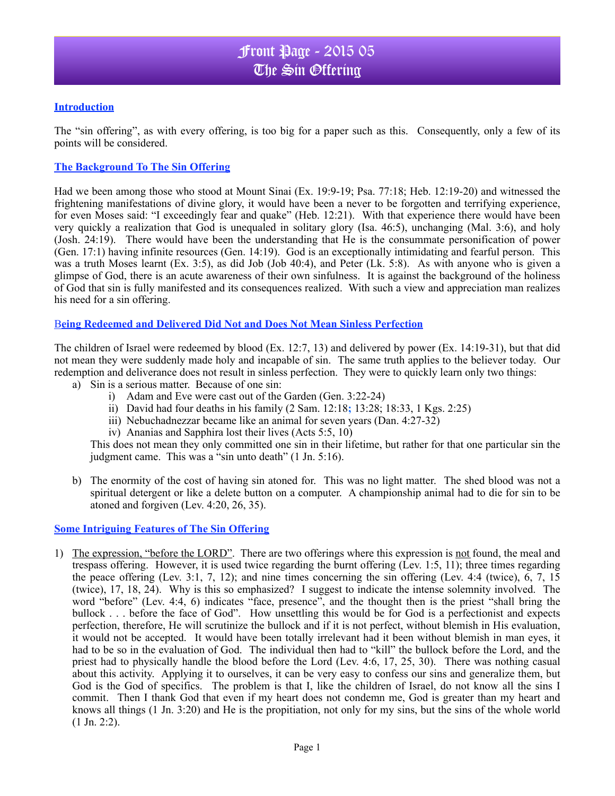## **Introduction**

The "sin offering", as with every offering, is too big for a paper such as this. Consequently, only a few of its points will be considered.

### **The Background To The Sin Offering**

Had we been among those who stood at Mount Sinai (Ex. 19:9-19; Psa. 77:18; Heb. 12:19-20) and witnessed the frightening manifestations of divine glory, it would have been a never to be forgotten and terrifying experience, for even Moses said: "I exceedingly fear and quake" (Heb. 12:21). With that experience there would have been very quickly a realization that God is unequaled in solitary glory (Isa. 46:5), unchanging (Mal. 3:6), and holy (Josh. 24:19). There would have been the understanding that He is the consummate personification of power (Gen. 17:1) having infinite resources (Gen. 14:19). God is an exceptionally intimidating and fearful person. This was a truth Moses learnt (Ex. 3:5), as did Job (Job 40:4), and Peter (Lk. 5:8). As with anyone who is given a glimpse of God, there is an acute awareness of their own sinfulness. It is against the background of the holiness of God that sin is fully manifested and its consequences realized. With such a view and appreciation man realizes his need for a sin offering.

### B**eing Redeemed and Delivered Did Not and Does Not Mean Sinless Perfection**

The children of Israel were redeemed by blood (Ex. 12:7, 13) and delivered by power (Ex. 14:19-31), but that did not mean they were suddenly made holy and incapable of sin. The same truth applies to the believer today. Our redemption and deliverance does not result in sinless perfection. They were to quickly learn only two things:

- a) Sin is a serious matter. Because of one sin:
	- i) Adam and Eve were cast out of the Garden (Gen. 3:22-24)
	- ii) David had four deaths in his family (2 Sam. 12:18**;** 13:28; 18:33, 1 Kgs. 2:25)
	- iii) Nebuchadnezzar became like an animal for seven years (Dan. 4:27-32)
	- iv) Ananias and Sapphira lost their lives (Acts 5:5, 10)

This does not mean they only committed one sin in their lifetime, but rather for that one particular sin the judgment came. This was a "sin unto death" (1 Jn. 5:16).

b) The enormity of the cost of having sin atoned for. This was no light matter. The shed blood was not a spiritual detergent or like a delete button on a computer. A championship animal had to die for sin to be atoned and forgiven (Lev. 4:20, 26, 35).

#### **Some Intriguing Features of The Sin Offering**

1) The expression, "before the LORD". There are two offerings where this expression is not found, the meal and trespass offering. However, it is used twice regarding the burnt offering (Lev. 1:5, 11); three times regarding the peace offering (Lev. 3:1, 7, 12); and nine times concerning the sin offering (Lev. 4:4 (twice), 6, 7, 15 (twice), 17, 18, 24). Why is this so emphasized? I suggest to indicate the intense solemnity involved. The word "before" (Lev. 4:4, 6) indicates "face, presence", and the thought then is the priest "shall bring the bullock . . . before the face of God". How unsettling this would be for God is a perfectionist and expects perfection, therefore, He will scrutinize the bullock and if it is not perfect, without blemish in His evaluation, it would not be accepted. It would have been totally irrelevant had it been without blemish in man eyes, it had to be so in the evaluation of God. The individual then had to "kill" the bullock before the Lord, and the priest had to physically handle the blood before the Lord (Lev. 4:6, 17, 25, 30). There was nothing casual about this activity. Applying it to ourselves, it can be very easy to confess our sins and generalize them, but God is the God of specifics. The problem is that I, like the children of Israel, do not know all the sins I commit. Then I thank God that even if my heart does not condemn me, God is greater than my heart and knows all things (1 Jn. 3:20) and He is the propitiation, not only for my sins, but the sins of the whole world  $(1 \text{ Jn. } 2:2)$ .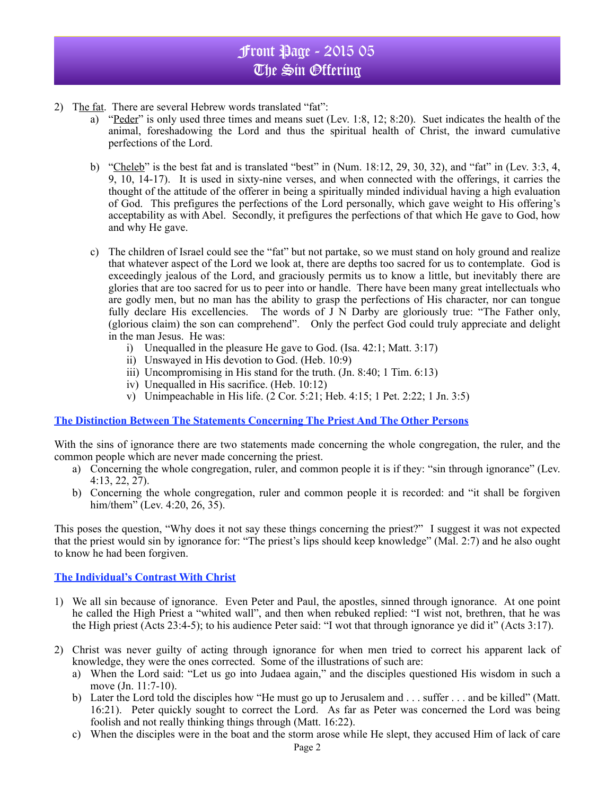- 2) The fat. There are several Hebrew words translated "fat":
	- a) "Peder" is only used three times and means suet (Lev. 1:8, 12; 8:20). Suet indicates the health of the animal, foreshadowing the Lord and thus the spiritual health of Christ, the inward cumulative perfections of the Lord.
	- b) "Cheleb" is the best fat and is translated "best" in  $(Num. 18:12, 29, 30, 32)$ , and "fat" in (Lev. 3:3, 4, 9, 10, 14-17). It is used in sixty-nine verses, and when connected with the offerings, it carries the thought of the attitude of the offerer in being a spiritually minded individual having a high evaluation of God. This prefigures the perfections of the Lord personally, which gave weight to His offering's acceptability as with Abel. Secondly, it prefigures the perfections of that which He gave to God, how and why He gave.
	- c) The children of Israel could see the "fat" but not partake, so we must stand on holy ground and realize that whatever aspect of the Lord we look at, there are depths too sacred for us to contemplate. God is exceedingly jealous of the Lord, and graciously permits us to know a little, but inevitably there are glories that are too sacred for us to peer into or handle. There have been many great intellectuals who are godly men, but no man has the ability to grasp the perfections of His character, nor can tongue fully declare His excellencies. The words of J N Darby are gloriously true: "The Father only, (glorious claim) the son can comprehend". Only the perfect God could truly appreciate and delight in the man Jesus. He was:
		- i) Unequalled in the pleasure He gave to God. (Isa. 42:1; Matt. 3:17)
		- ii) Unswayed in His devotion to God. (Heb. 10:9)
		- iii) Uncompromising in His stand for the truth. (Jn. 8:40; 1 Tim. 6:13)
		- iv) Unequalled in His sacrifice. (Heb. 10:12)
		- v) Unimpeachable in His life. (2 Cor. 5:21; Heb. 4:15; 1 Pet. 2:22; 1 Jn. 3:5)

#### **The Distinction Between The Statements Concerning The Priest And The Other Persons**

With the sins of ignorance there are two statements made concerning the whole congregation, the ruler, and the common people which are never made concerning the priest.

- a) Concerning the whole congregation, ruler, and common people it is if they: "sin through ignorance" (Lev. 4:13, 22, 27).
- b) Concerning the whole congregation, ruler and common people it is recorded: and "it shall be forgiven him/them" (Lev. 4:20, 26, 35).

This poses the question, "Why does it not say these things concerning the priest?" I suggest it was not expected that the priest would sin by ignorance for: "The priest's lips should keep knowledge" (Mal. 2:7) and he also ought to know he had been forgiven.

#### **The Individual's Contrast With Christ**

- 1) We all sin because of ignorance. Even Peter and Paul, the apostles, sinned through ignorance. At one point he called the High Priest a "whited wall", and then when rebuked replied: "I wist not, brethren, that he was the High priest (Acts 23:4-5); to his audience Peter said: "I wot that through ignorance ye did it" (Acts 3:17).
- 2) Christ was never guilty of acting through ignorance for when men tried to correct his apparent lack of knowledge, they were the ones corrected. Some of the illustrations of such are:
	- a) When the Lord said: "Let us go into Judaea again," and the disciples questioned His wisdom in such a move (Jn. 11:7-10).
	- b) Later the Lord told the disciples how "He must go up to Jerusalem and . . . suffer . . . and be killed" (Matt. 16:21). Peter quickly sought to correct the Lord. As far as Peter was concerned the Lord was being foolish and not really thinking things through (Matt. 16:22).
	- c) When the disciples were in the boat and the storm arose while He slept, they accused Him of lack of care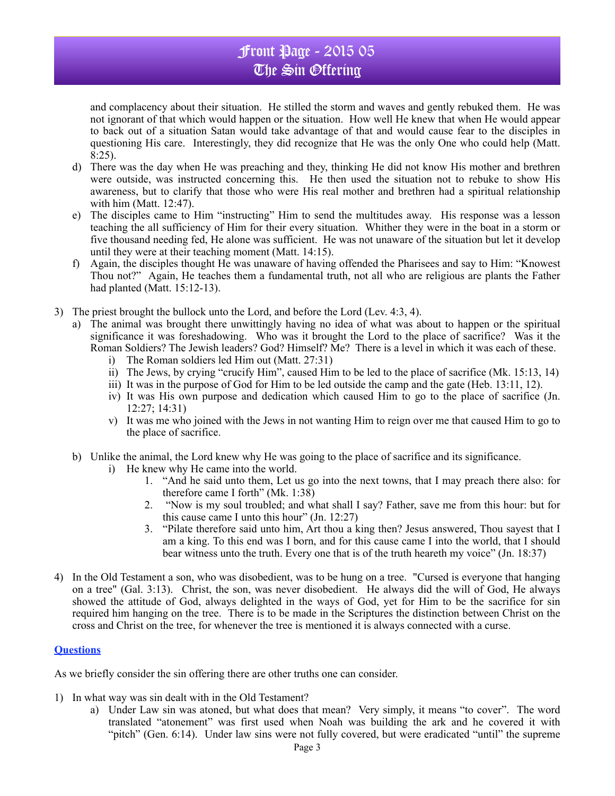and complacency about their situation. He stilled the storm and waves and gently rebuked them. He was not ignorant of that which would happen or the situation. How well He knew that when He would appear to back out of a situation Satan would take advantage of that and would cause fear to the disciples in questioning His care. Interestingly, they did recognize that He was the only One who could help (Matt. 8:25).

- d) There was the day when He was preaching and they, thinking He did not know His mother and brethren were outside, was instructed concerning this. He then used the situation not to rebuke to show His awareness, but to clarify that those who were His real mother and brethren had a spiritual relationship with him (Matt. 12:47).
- e) The disciples came to Him "instructing" Him to send the multitudes away. His response was a lesson teaching the all sufficiency of Him for their every situation. Whither they were in the boat in a storm or five thousand needing fed, He alone was sufficient. He was not unaware of the situation but let it develop until they were at their teaching moment (Matt. 14:15).
- f) Again, the disciples thought He was unaware of having offended the Pharisees and say to Him: "Knowest Thou not?" Again, He teaches them a fundamental truth, not all who are religious are plants the Father had planted (Matt. 15:12-13).
- 3) The priest brought the bullock unto the Lord, and before the Lord (Lev. 4:3, 4).
	- a) The animal was brought there unwittingly having no idea of what was about to happen or the spiritual significance it was foreshadowing. Who was it brought the Lord to the place of sacrifice? Was it the Roman Soldiers? The Jewish leaders? God? Himself? Me? There is a level in which it was each of these.
		- i) The Roman soldiers led Him out (Matt. 27:31)
		- ii) The Jews, by crying "crucify Him", caused Him to be led to the place of sacrifice (Mk. 15:13, 14)
		- iii) It was in the purpose of God for Him to be led outside the camp and the gate (Heb. 13:11, 12).
		- iv) It was His own purpose and dedication which caused Him to go to the place of sacrifice (Jn. 12:27; 14:31)
		- v) It was me who joined with the Jews in not wanting Him to reign over me that caused Him to go to the place of sacrifice.
		- b) Unlike the animal, the Lord knew why He was going to the place of sacrifice and its significance.
			- i) He knew why He came into the world.
				- 1. "And he said unto them, Let us go into the next towns, that I may preach there also: for therefore came I forth" (Mk. 1:38)
				- 2. "Now is my soul troubled; and what shall I say? Father, save me from this hour: but for this cause came I unto this hour" (Jn. 12:27)
				- 3. "Pilate therefore said unto him, Art thou a king then? Jesus answered, Thou sayest that I am a king. To this end was I born, and for this cause came I into the world, that I should bear witness unto the truth. Every one that is of the truth heareth my voice" (Jn. 18:37)
- 4) In the Old Testament a son, who was disobedient, was to be hung on a tree. "Cursed is everyone that hanging on a tree" (Gal. 3:13). Christ, the son, was never disobedient. He always did the will of God, He always showed the attitude of God, always delighted in the ways of God, yet for Him to be the sacrifice for sin required him hanging on the tree. There is to be made in the Scriptures the distinction between Christ on the cross and Christ on the tree, for whenever the tree is mentioned it is always connected with a curse.

## **Questions**

As we briefly consider the sin offering there are other truths one can consider.

- 1) In what way was sin dealt with in the Old Testament?
	- a) Under Law sin was atoned, but what does that mean? Very simply, it means "to cover". The word translated "atonement" was first used when Noah was building the ark and he covered it with "pitch" (Gen. 6:14). Under law sins were not fully covered, but were eradicated "until" the supreme